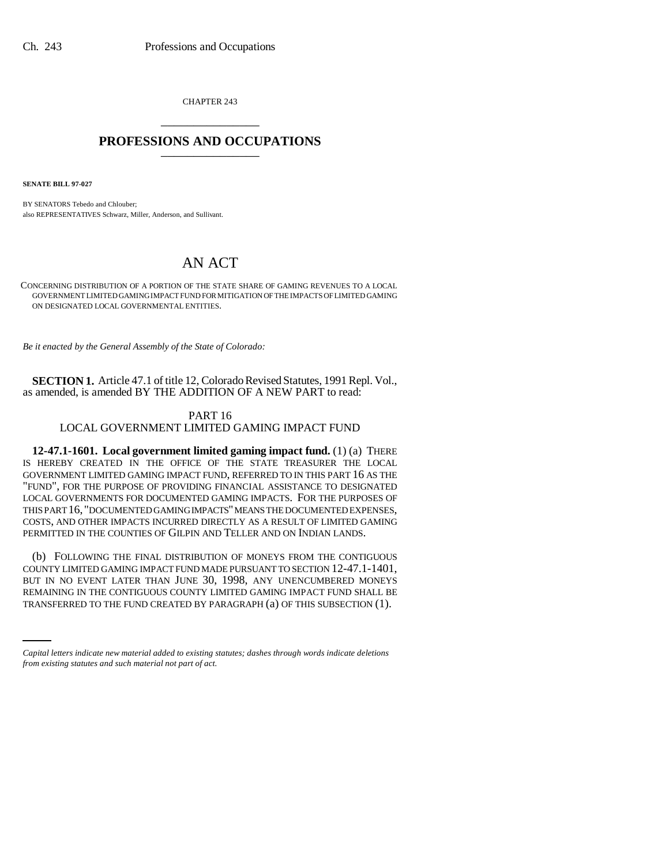CHAPTER 243 \_\_\_\_\_\_\_\_\_\_\_\_\_\_\_

## **PROFESSIONS AND OCCUPATIONS** \_\_\_\_\_\_\_\_\_\_\_\_\_\_\_

**SENATE BILL 97-027**

BY SENATORS Tebedo and Chlouber; also REPRESENTATIVES Schwarz, Miller, Anderson, and Sullivant.

# AN ACT

CONCERNING DISTRIBUTION OF A PORTION OF THE STATE SHARE OF GAMING REVENUES TO A LOCAL GOVERNMENT LIMITED GAMING IMPACT FUND FOR MITIGATION OF THE IMPACTS OF LIMITED GAMING ON DESIGNATED LOCAL GOVERNMENTAL ENTITIES.

*Be it enacted by the General Assembly of the State of Colorado:*

**SECTION 1.** Article 47.1 of title 12, Colorado Revised Statutes, 1991 Repl. Vol., as amended, is amended BY THE ADDITION OF A NEW PART to read:

### PART 16

#### LOCAL GOVERNMENT LIMITED GAMING IMPACT FUND

**12-47.1-1601. Local government limited gaming impact fund.** (1) (a) THERE IS HEREBY CREATED IN THE OFFICE OF THE STATE TREASURER THE LOCAL GOVERNMENT LIMITED GAMING IMPACT FUND, REFERRED TO IN THIS PART 16 AS THE "FUND", FOR THE PURPOSE OF PROVIDING FINANCIAL ASSISTANCE TO DESIGNATED LOCAL GOVERNMENTS FOR DOCUMENTED GAMING IMPACTS. FOR THE PURPOSES OF THIS PART 16, "DOCUMENTED GAMING IMPACTS" MEANS THE DOCUMENTED EXPENSES, COSTS, AND OTHER IMPACTS INCURRED DIRECTLY AS A RESULT OF LIMITED GAMING PERMITTED IN THE COUNTIES OF GILPIN AND TELLER AND ON INDIAN LANDS.

BUT IN NO EVENT LATER THAN JUNE 30, 1998, ANY UNENCUMBERED MONEYS (b) FOLLOWING THE FINAL DISTRIBUTION OF MONEYS FROM THE CONTIGUOUS COUNTY LIMITED GAMING IMPACT FUND MADE PURSUANT TO SECTION 12-47.1-1401, REMAINING IN THE CONTIGUOUS COUNTY LIMITED GAMING IMPACT FUND SHALL BE TRANSFERRED TO THE FUND CREATED BY PARAGRAPH (a) OF THIS SUBSECTION (1).

*Capital letters indicate new material added to existing statutes; dashes through words indicate deletions from existing statutes and such material not part of act.*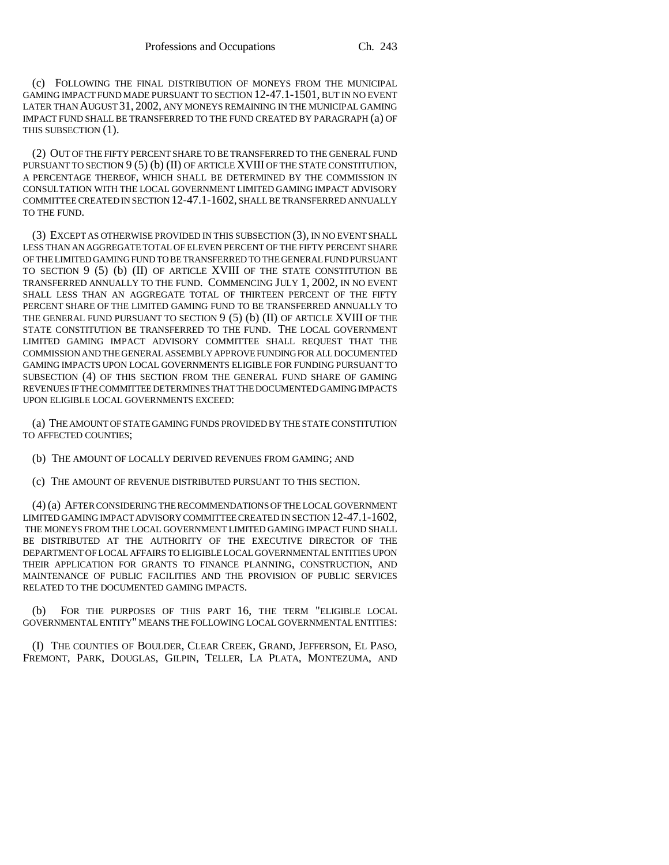(c) FOLLOWING THE FINAL DISTRIBUTION OF MONEYS FROM THE MUNICIPAL GAMING IMPACT FUND MADE PURSUANT TO SECTION 12-47.1-1501, BUT IN NO EVENT LATER THAN AUGUST 31, 2002, ANY MONEYS REMAINING IN THE MUNICIPAL GAMING IMPACT FUND SHALL BE TRANSFERRED TO THE FUND CREATED BY PARAGRAPH (a) OF THIS SUBSECTION (1).

(2) OUT OF THE FIFTY PERCENT SHARE TO BE TRANSFERRED TO THE GENERAL FUND PURSUANT TO SECTION 9 (5) (b) (II) OF ARTICLE XVIII OF THE STATE CONSTITUTION, A PERCENTAGE THEREOF, WHICH SHALL BE DETERMINED BY THE COMMISSION IN CONSULTATION WITH THE LOCAL GOVERNMENT LIMITED GAMING IMPACT ADVISORY COMMITTEE CREATED IN SECTION 12-47.1-1602, SHALL BE TRANSFERRED ANNUALLY TO THE FUND.

(3) EXCEPT AS OTHERWISE PROVIDED IN THIS SUBSECTION (3), IN NO EVENT SHALL LESS THAN AN AGGREGATE TOTAL OF ELEVEN PERCENT OF THE FIFTY PERCENT SHARE OF THE LIMITED GAMING FUND TO BE TRANSFERRED TO THE GENERAL FUND PURSUANT TO SECTION 9 (5) (b) (II) OF ARTICLE XVIII OF THE STATE CONSTITUTION BE TRANSFERRED ANNUALLY TO THE FUND. COMMENCING JULY 1, 2002, IN NO EVENT SHALL LESS THAN AN AGGREGATE TOTAL OF THIRTEEN PERCENT OF THE FIFTY PERCENT SHARE OF THE LIMITED GAMING FUND TO BE TRANSFERRED ANNUALLY TO THE GENERAL FUND PURSUANT TO SECTION  $9(5)$  (b) (II) OF ARTICLE XVIII OF THE STATE CONSTITUTION BE TRANSFERRED TO THE FUND. THE LOCAL GOVERNMENT LIMITED GAMING IMPACT ADVISORY COMMITTEE SHALL REQUEST THAT THE COMMISSION AND THE GENERAL ASSEMBLY APPROVE FUNDING FOR ALL DOCUMENTED GAMING IMPACTS UPON LOCAL GOVERNMENTS ELIGIBLE FOR FUNDING PURSUANT TO SUBSECTION (4) OF THIS SECTION FROM THE GENERAL FUND SHARE OF GAMING REVENUES IF THE COMMITTEE DETERMINES THAT THE DOCUMENTED GAMING IMPACTS UPON ELIGIBLE LOCAL GOVERNMENTS EXCEED:

(a) THE AMOUNT OF STATE GAMING FUNDS PROVIDED BY THE STATE CONSTITUTION TO AFFECTED COUNTIES;

(b) THE AMOUNT OF LOCALLY DERIVED REVENUES FROM GAMING; AND

(c) THE AMOUNT OF REVENUE DISTRIBUTED PURSUANT TO THIS SECTION.

(4) (a) AFTER CONSIDERING THE RECOMMENDATIONS OF THE LOCAL GOVERNMENT LIMITED GAMING IMPACT ADVISORY COMMITTEE CREATED IN SECTION 12-47.1-1602, THE MONEYS FROM THE LOCAL GOVERNMENT LIMITED GAMING IMPACT FUND SHALL BE DISTRIBUTED AT THE AUTHORITY OF THE EXECUTIVE DIRECTOR OF THE DEPARTMENT OF LOCAL AFFAIRS TO ELIGIBLE LOCAL GOVERNMENTAL ENTITIES UPON THEIR APPLICATION FOR GRANTS TO FINANCE PLANNING, CONSTRUCTION, AND MAINTENANCE OF PUBLIC FACILITIES AND THE PROVISION OF PUBLIC SERVICES RELATED TO THE DOCUMENTED GAMING IMPACTS.

(b) FOR THE PURPOSES OF THIS PART 16, THE TERM "ELIGIBLE LOCAL GOVERNMENTAL ENTITY" MEANS THE FOLLOWING LOCAL GOVERNMENTAL ENTITIES:

(I) THE COUNTIES OF BOULDER, CLEAR CREEK, GRAND, JEFFERSON, EL PASO, FREMONT, PARK, DOUGLAS, GILPIN, TELLER, LA PLATA, MONTEZUMA, AND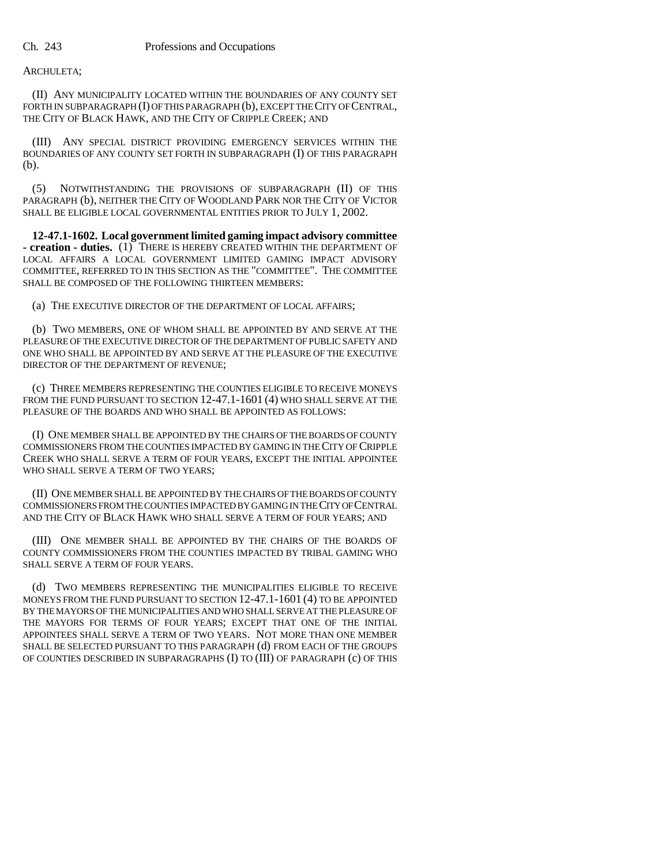### ARCHULETA;

(II) ANY MUNICIPALITY LOCATED WITHIN THE BOUNDARIES OF ANY COUNTY SET FORTH IN SUBPARAGRAPH (I) OF THIS PARAGRAPH (b), EXCEPT THE CITY OF CENTRAL, THE CITY OF BLACK HAWK, AND THE CITY OF CRIPPLE CREEK; AND

(III) ANY SPECIAL DISTRICT PROVIDING EMERGENCY SERVICES WITHIN THE BOUNDARIES OF ANY COUNTY SET FORTH IN SUBPARAGRAPH (I) OF THIS PARAGRAPH (b).

(5) NOTWITHSTANDING THE PROVISIONS OF SUBPARAGRAPH (II) OF THIS PARAGRAPH (b), NEITHER THE CITY OF WOODLAND PARK NOR THE CITY OF VICTOR SHALL BE ELIGIBLE LOCAL GOVERNMENTAL ENTITIES PRIOR TO JULY 1, 2002.

**12-47.1-1602. Local government limited gaming impact advisory committee - creation - duties.** (1) THERE IS HEREBY CREATED WITHIN THE DEPARTMENT OF LOCAL AFFAIRS A LOCAL GOVERNMENT LIMITED GAMING IMPACT ADVISORY COMMITTEE, REFERRED TO IN THIS SECTION AS THE "COMMITTEE". THE COMMITTEE SHALL BE COMPOSED OF THE FOLLOWING THIRTEEN MEMBERS:

(a) THE EXECUTIVE DIRECTOR OF THE DEPARTMENT OF LOCAL AFFAIRS;

(b) TWO MEMBERS, ONE OF WHOM SHALL BE APPOINTED BY AND SERVE AT THE PLEASURE OF THE EXECUTIVE DIRECTOR OF THE DEPARTMENT OF PUBLIC SAFETY AND ONE WHO SHALL BE APPOINTED BY AND SERVE AT THE PLEASURE OF THE EXECUTIVE DIRECTOR OF THE DEPARTMENT OF REVENUE;

(c) THREE MEMBERS REPRESENTING THE COUNTIES ELIGIBLE TO RECEIVE MONEYS FROM THE FUND PURSUANT TO SECTION 12-47.1-1601 (4) WHO SHALL SERVE AT THE PLEASURE OF THE BOARDS AND WHO SHALL BE APPOINTED AS FOLLOWS:

(I) ONE MEMBER SHALL BE APPOINTED BY THE CHAIRS OF THE BOARDS OF COUNTY COMMISSIONERS FROM THE COUNTIES IMPACTED BY GAMING IN THE CITY OF CRIPPLE CREEK WHO SHALL SERVE A TERM OF FOUR YEARS, EXCEPT THE INITIAL APPOINTEE WHO SHALL SERVE A TERM OF TWO YEARS;

(II) ONE MEMBER SHALL BE APPOINTED BY THE CHAIRS OF THE BOARDS OF COUNTY COMMISSIONERS FROM THE COUNTIES IMPACTED BY GAMING IN THE CITY OF CENTRAL AND THE CITY OF BLACK HAWK WHO SHALL SERVE A TERM OF FOUR YEARS; AND

(III) ONE MEMBER SHALL BE APPOINTED BY THE CHAIRS OF THE BOARDS OF COUNTY COMMISSIONERS FROM THE COUNTIES IMPACTED BY TRIBAL GAMING WHO SHALL SERVE A TERM OF FOUR YEARS.

(d) TWO MEMBERS REPRESENTING THE MUNICIPALITIES ELIGIBLE TO RECEIVE MONEYS FROM THE FUND PURSUANT TO SECTION 12-47.1-1601 (4) TO BE APPOINTED BY THE MAYORS OF THE MUNICIPALITIES AND WHO SHALL SERVE AT THE PLEASURE OF THE MAYORS FOR TERMS OF FOUR YEARS; EXCEPT THAT ONE OF THE INITIAL APPOINTEES SHALL SERVE A TERM OF TWO YEARS. NOT MORE THAN ONE MEMBER SHALL BE SELECTED PURSUANT TO THIS PARAGRAPH (d) FROM EACH OF THE GROUPS OF COUNTIES DESCRIBED IN SUBPARAGRAPHS (I) TO (III) OF PARAGRAPH (c) OF THIS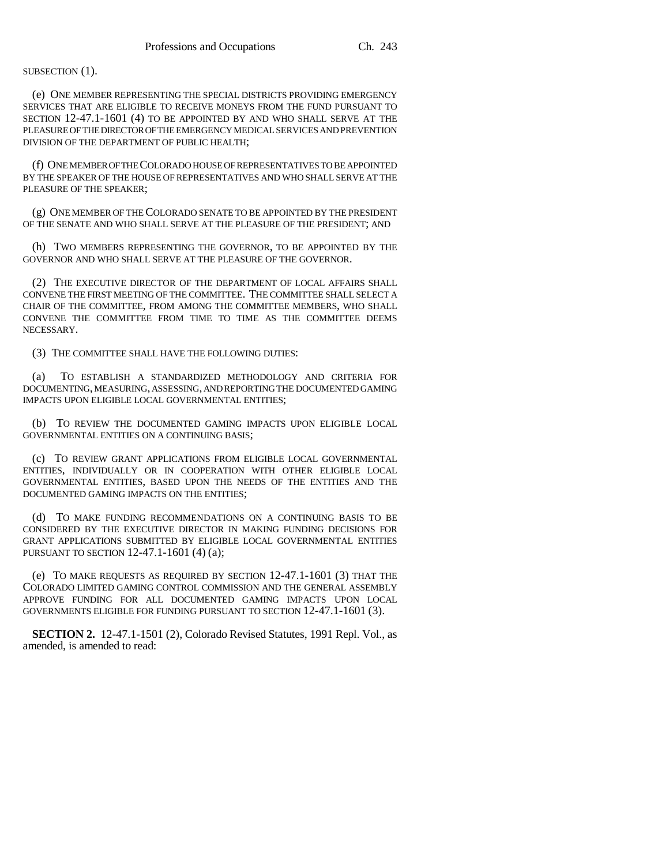#### SUBSECTION (1).

(e) ONE MEMBER REPRESENTING THE SPECIAL DISTRICTS PROVIDING EMERGENCY SERVICES THAT ARE ELIGIBLE TO RECEIVE MONEYS FROM THE FUND PURSUANT TO SECTION 12-47.1-1601 (4) TO BE APPOINTED BY AND WHO SHALL SERVE AT THE PLEASURE OF THE DIRECTOR OF THE EMERGENCY MEDICAL SERVICES AND PREVENTION DIVISION OF THE DEPARTMENT OF PUBLIC HEALTH;

(f) ONE MEMBER OF THE COLORADO HOUSE OF REPRESENTATIVES TO BE APPOINTED BY THE SPEAKER OF THE HOUSE OF REPRESENTATIVES AND WHO SHALL SERVE AT THE PLEASURE OF THE SPEAKER;

(g) ONE MEMBER OF THE COLORADO SENATE TO BE APPOINTED BY THE PRESIDENT OF THE SENATE AND WHO SHALL SERVE AT THE PLEASURE OF THE PRESIDENT; AND

(h) TWO MEMBERS REPRESENTING THE GOVERNOR, TO BE APPOINTED BY THE GOVERNOR AND WHO SHALL SERVE AT THE PLEASURE OF THE GOVERNOR.

(2) THE EXECUTIVE DIRECTOR OF THE DEPARTMENT OF LOCAL AFFAIRS SHALL CONVENE THE FIRST MEETING OF THE COMMITTEE. THE COMMITTEE SHALL SELECT A CHAIR OF THE COMMITTEE, FROM AMONG THE COMMITTEE MEMBERS, WHO SHALL CONVENE THE COMMITTEE FROM TIME TO TIME AS THE COMMITTEE DEEMS NECESSARY.

(3) THE COMMITTEE SHALL HAVE THE FOLLOWING DUTIES:

(a) TO ESTABLISH A STANDARDIZED METHODOLOGY AND CRITERIA FOR DOCUMENTING, MEASURING, ASSESSING, AND REPORTING THE DOCUMENTED GAMING IMPACTS UPON ELIGIBLE LOCAL GOVERNMENTAL ENTITIES;

(b) TO REVIEW THE DOCUMENTED GAMING IMPACTS UPON ELIGIBLE LOCAL GOVERNMENTAL ENTITIES ON A CONTINUING BASIS;

(c) TO REVIEW GRANT APPLICATIONS FROM ELIGIBLE LOCAL GOVERNMENTAL ENTITIES, INDIVIDUALLY OR IN COOPERATION WITH OTHER ELIGIBLE LOCAL GOVERNMENTAL ENTITIES, BASED UPON THE NEEDS OF THE ENTITIES AND THE DOCUMENTED GAMING IMPACTS ON THE ENTITIES;

(d) TO MAKE FUNDING RECOMMENDATIONS ON A CONTINUING BASIS TO BE CONSIDERED BY THE EXECUTIVE DIRECTOR IN MAKING FUNDING DECISIONS FOR GRANT APPLICATIONS SUBMITTED BY ELIGIBLE LOCAL GOVERNMENTAL ENTITIES PURSUANT TO SECTION 12-47.1-1601 (4) (a);

(e) TO MAKE REQUESTS AS REQUIRED BY SECTION 12-47.1-1601 (3) THAT THE COLORADO LIMITED GAMING CONTROL COMMISSION AND THE GENERAL ASSEMBLY APPROVE FUNDING FOR ALL DOCUMENTED GAMING IMPACTS UPON LOCAL GOVERNMENTS ELIGIBLE FOR FUNDING PURSUANT TO SECTION 12-47.1-1601 (3).

**SECTION 2.** 12-47.1-1501 (2), Colorado Revised Statutes, 1991 Repl. Vol., as amended, is amended to read: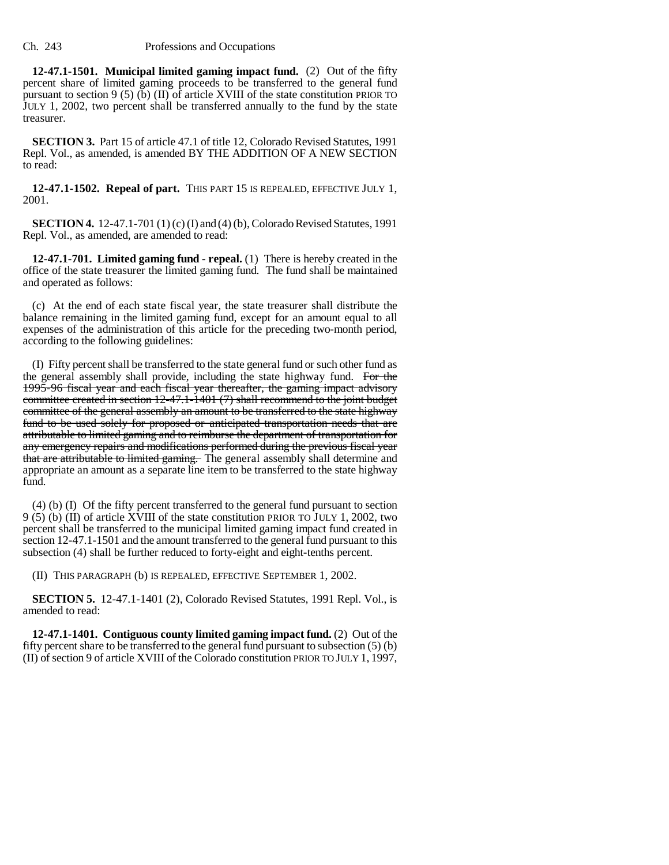**12-47.1-1501. Municipal limited gaming impact fund.** (2) Out of the fifty percent share of limited gaming proceeds to be transferred to the general fund pursuant to section 9 (5) (b) (II) of article XVIII of the state constitution PRIOR TO JULY 1, 2002, two percent shall be transferred annually to the fund by the state treasurer.

**SECTION 3.** Part 15 of article 47.1 of title 12, Colorado Revised Statutes, 1991 Repl. Vol., as amended, is amended BY THE ADDITION OF A NEW SECTION to read:

**12-47.1-1502. Repeal of part.** THIS PART 15 IS REPEALED, EFFECTIVE JULY 1, 2001.

**SECTION 4.** 12-47.1-701 (1) (c) (I) and (4) (b), Colorado Revised Statutes, 1991 Repl. Vol., as amended, are amended to read:

**12-47.1-701. Limited gaming fund - repeal.** (1) There is hereby created in the office of the state treasurer the limited gaming fund. The fund shall be maintained and operated as follows:

(c) At the end of each state fiscal year, the state treasurer shall distribute the balance remaining in the limited gaming fund, except for an amount equal to all expenses of the administration of this article for the preceding two-month period, according to the following guidelines:

(I) Fifty percent shall be transferred to the state general fund or such other fund as the general assembly shall provide, including the state highway fund. For the 1995-96 fiscal year and each fiscal year thereafter, the gaming impact advisory committee created in section 12-47.1-1401 (7) shall recommend to the joint budget committee of the general assembly an amount to be transferred to the state highway fund to be used solely for proposed or anticipated transportation needs that are attributable to limited gaming and to reimburse the department of transportation for any emergency repairs and modifications performed during the previous fiscal year that are attributable to limited gaming. The general assembly shall determine and appropriate an amount as a separate line item to be transferred to the state highway fund.

(4) (b) (I) Of the fifty percent transferred to the general fund pursuant to section 9 (5) (b) (II) of article XVIII of the state constitution PRIOR TO JULY 1, 2002, two percent shall be transferred to the municipal limited gaming impact fund created in section 12-47.1-1501 and the amount transferred to the general fund pursuant to this subsection (4) shall be further reduced to forty-eight and eight-tenths percent.

(II) THIS PARAGRAPH (b) IS REPEALED, EFFECTIVE SEPTEMBER 1, 2002.

**SECTION 5.** 12-47.1-1401 (2), Colorado Revised Statutes, 1991 Repl. Vol., is amended to read:

**12-47.1-1401. Contiguous county limited gaming impact fund.** (2) Out of the fifty percent share to be transferred to the general fund pursuant to subsection (5) (b) (II) of section 9 of article XVIII of the Colorado constitution PRIOR TO JULY 1, 1997,